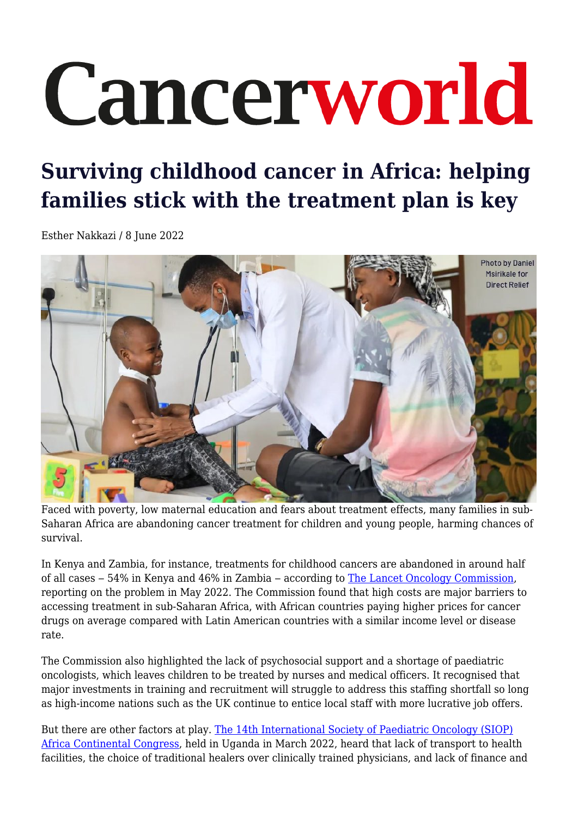# Cancerworld

## **Surviving childhood cancer in Africa: helping families stick with the treatment plan is key**

Esther Nakkazi / 8 June 2022



Faced with poverty, low maternal education and fears about treatment effects, many families in sub-Saharan Africa are abandoning cancer treatment for children and young people, harming chances of survival.

In Kenya and Zambia, for instance, treatments for childhood cancers are abandoned in around half of all cases – 54% in Kenya and 46% in Zambia – according to [The Lancet Oncology Commission](http://www.thelancet-press.com/embargo/subSaharanCancerCommission.pdf), reporting on the problem in May 2022. The Commission found that high costs are major barriers to accessing treatment in sub-Saharan Africa, with African countries paying higher prices for cancer drugs on average compared with Latin American countries with a similar income level or disease rate.

The Commission also highlighted the lack of psychosocial support and a shortage of paediatric oncologists, which leaves children to be treated by nurses and medical officers. It recognised that major investments in training and recruitment will struggle to address this staffing shortfall so long as high-income nations such as the UK continue to entice local staff with more lucrative job offers.

But there are other factors at play. [The 14th International Society of Paediatric Oncology \(SIOP\)](https://siopafrica.org/wp-content/uploads/2022/03/14th-congress-of-SIOP-Africa-booklet-full.pdf) [Africa Continental Congress,](https://siopafrica.org/wp-content/uploads/2022/03/14th-congress-of-SIOP-Africa-booklet-full.pdf) held in Uganda in March 2022, heard that lack of transport to health facilities, the choice of traditional healers over clinically trained physicians, and lack of finance and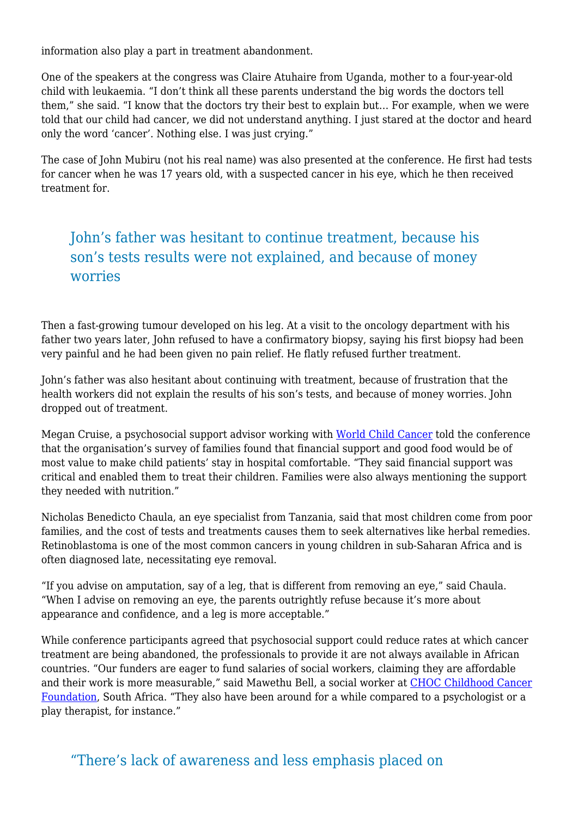information also play a part in treatment abandonment.

One of the speakers at the congress was Claire Atuhaire from Uganda, mother to a four-year-old child with leukaemia. "I don't think all these parents understand the big words the doctors tell them," she said. "I know that the doctors try their best to explain but… For example, when we were told that our child had cancer, we did not understand anything. I just stared at the doctor and heard only the word 'cancer'. Nothing else. I was just crying."

The case of John Mubiru (not his real name) was also presented at the conference. He first had tests for cancer when he was 17 years old, with a suspected cancer in his eye, which he then received treatment for.

### John's father was hesitant to continue treatment, because his son's tests results were not explained, and because of money worries

Then a fast-growing tumour developed on his leg. At a visit to the oncology department with his father two years later, John refused to have a confirmatory biopsy, saying his first biopsy had been very painful and he had been given no pain relief. He flatly refused further treatment.

John's father was also hesitant about continuing with treatment, because of frustration that the health workers did not explain the results of his son's tests, and because of money worries. John dropped out of treatment.

Megan Cruise, a psychosocial support advisor working with [World Child Cancer](https://worldchildcancer.org/) told the conference that the organisation's survey of families found that financial support and good food would be of most value to make child patients' stay in hospital comfortable. "They said financial support was critical and enabled them to treat their children. Families were also always mentioning the support they needed with nutrition."

Nicholas Benedicto Chaula, an eye specialist from Tanzania, said that most children come from poor families, and the cost of tests and treatments causes them to seek alternatives like herbal remedies. Retinoblastoma is one of the most common cancers in young children in sub-Saharan Africa and is often diagnosed late, necessitating eye removal.

"If you advise on amputation, say of a leg, that is different from removing an eye," said Chaula. "When I advise on removing an eye, the parents outrightly refuse because it's more about appearance and confidence, and a leg is more acceptable."

While conference participants agreed that psychosocial support could reduce rates at which cancer treatment are being abandoned, the professionals to provide it are not always available in African countries. "Our funders are eager to fund salaries of social workers, claiming they are affordable and their work is more measurable," said Mawethu Bell, a social worker at [CHOC Childhood Cancer](https://choc.org.za/about-choc-childhood-cancer-foundation/) [Foundation,](https://choc.org.za/about-choc-childhood-cancer-foundation/) South Africa. "They also have been around for a while compared to a psychologist or a play therapist, for instance."

#### "There's lack of awareness and less emphasis placed on